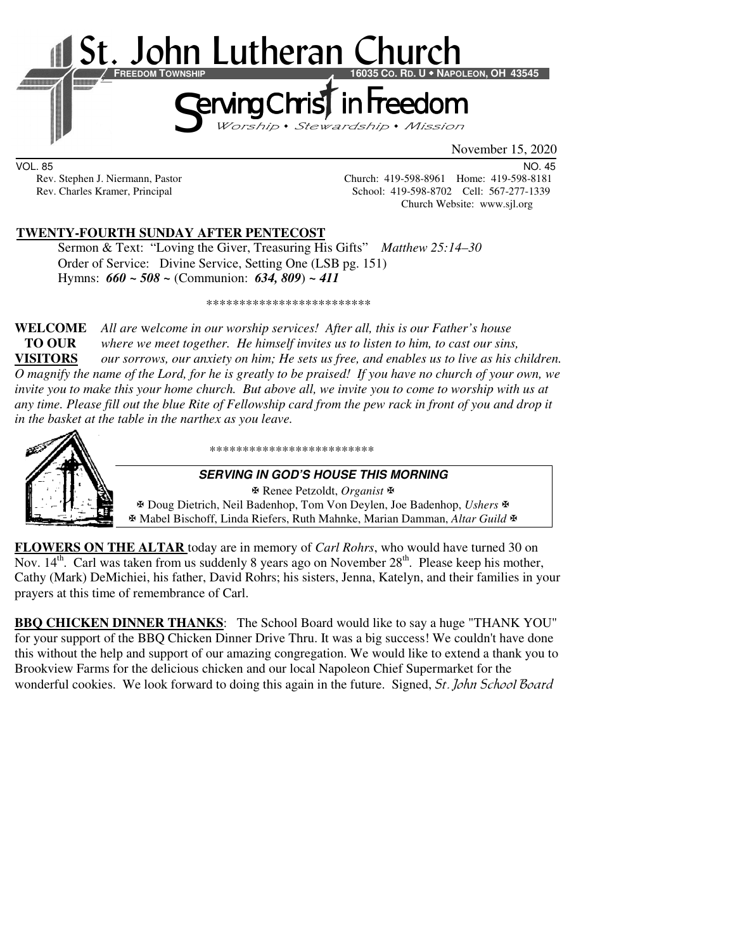

VOL. 85 NO. 45 Rev. Stephen J. Niermann, Pastor Church: 419-598-8961 Home: 419-598-8181<br>Rev. Charles Kramer, Principal Church: 419-598-8702 Cell: 567-277-1339 School: 419-598-8702 Cell: 567-277-1339 Church Website: www.sjl.org

## **TWENTY-FOURTH SUNDAY AFTER PENTECOST**

 Sermon & Text: "Loving the Giver, Treasuring His Gifts" *Matthew 25:14–30* Order of Service: Divine Service, Setting One (LSB pg. 151) Hymns: *660 ~ 508 ~* (Communion: *634, 809*) *~ 411*

\*\*\*\*\*\*\*\*\*\*\*\*\*\*\*\*\*\*\*\*\*\*\*\*\*

**WELCOME** *All are* w*elcome in our worship services! After all, this is our Father's house* **TO OUR** *where we meet together. He himself invites us to listen to him, to cast our sins,*  **VISITORS** *our sorrows, our anxiety on him; He sets us free, and enables us to live as his children. O magnify the name of the Lord, for he is greatly to be praised! If you have no church of your own, we invite you to make this your home church. But above all, we invite you to come to worship with us at any time. Please fill out the blue Rite of Fellowship card from the pew rack in front of you and drop it in the basket at the table in the narthex as you leave.* 



\*\*\*\*\*\*\*\*\*\*\*\*\*\*\*\*\*\*\*\*\*\*\*\*\*

#### **SERVING IN GOD'S HOUSE THIS MORNING**

 Renee Petzoldt, *Organist* Doug Dietrich, Neil Badenhop, Tom Von Deylen, Joe Badenhop, *Ushers* Mabel Bischoff, Linda Riefers, Ruth Mahnke, Marian Damman, *Altar Guild*

**FLOWERS ON THE ALTAR** today are in memory of *Carl Rohrs*, who would have turned 30 on Nov.  $14<sup>th</sup>$ . Carl was taken from us suddenly 8 years ago on November  $28<sup>th</sup>$ . Please keep his mother, Cathy (Mark) DeMichiei, his father, David Rohrs; his sisters, Jenna, Katelyn, and their families in your prayers at this time of remembrance of Carl.

**BBQ CHICKEN DINNER THANKS**: The School Board would like to say a huge "THANK YOU" for your support of the BBQ Chicken Dinner Drive Thru. It was a big success! We couldn't have done this without the help and support of our amazing congregation. We would like to extend a thank you to Brookview Farms for the delicious chicken and our local Napoleon Chief Supermarket for the wonderful cookies. We look forward to doing this again in the future. Signed, *St. John School Board*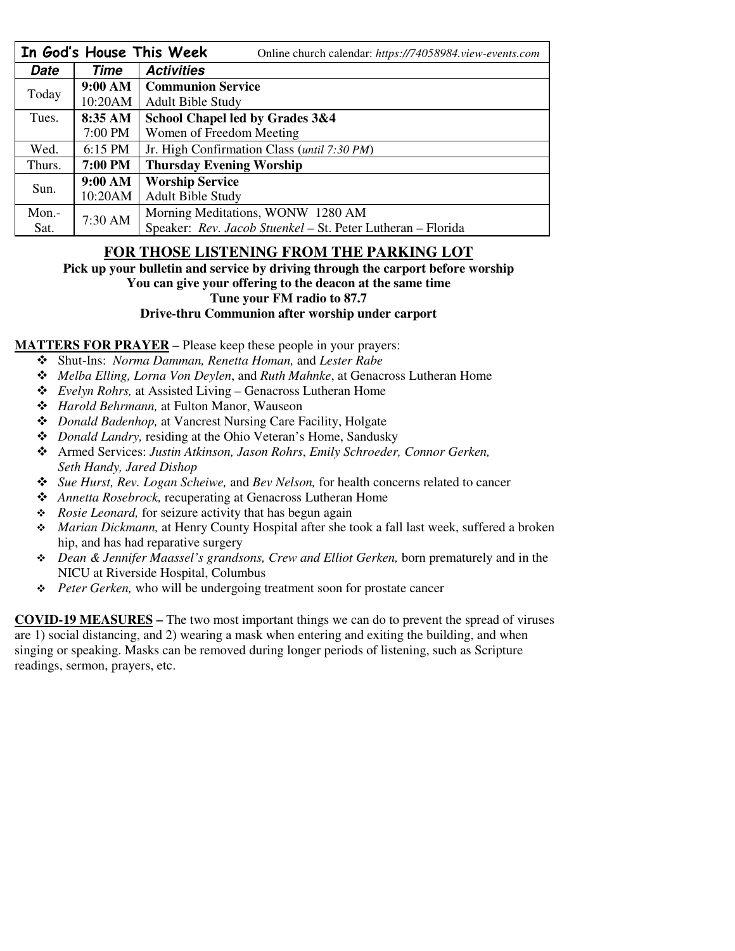|        |                   | In God's House This Week<br>Online church calendar: https://74058984.view-events.com |  |  |
|--------|-------------------|--------------------------------------------------------------------------------------|--|--|
| Date   | Time              | <b>Activities</b>                                                                    |  |  |
| Today  | 9:00 AM           | <b>Communion Service</b>                                                             |  |  |
|        | 10:20AM           | <b>Adult Bible Study</b>                                                             |  |  |
| Tues.  | 8:35 AM           | School Chapel led by Grades 3&4                                                      |  |  |
|        | 7:00 PM           | Women of Freedom Meeting                                                             |  |  |
| Wed.   | $6:15$ PM         | Jr. High Confirmation Class (until 7:30 PM)                                          |  |  |
| Thurs. | 7:00 PM           | <b>Thursday Evening Worship</b>                                                      |  |  |
| Sun.   | 9:00 AM           | <b>Worship Service</b>                                                               |  |  |
|        | 10:20AM           | <b>Adult Bible Study</b>                                                             |  |  |
| Mon.-  | $7:30 \text{ AM}$ | Morning Meditations, WONW 1280 AM                                                    |  |  |
| Sat.   |                   | Speaker: Rev. Jacob Stuenkel - St. Peter Lutheran - Florida                          |  |  |

# **FOR THOSE LISTENING FROM THE PARKING LOT**

**Pick up your bulletin and service by driving through the carport before worship You can give your offering to the deacon at the same time Tune your FM radio to 87.7** 

## **Drive-thru Communion after worship under carport**

### **MATTERS FOR PRAYER** – Please keep these people in your prayers:

- Shut-Ins: *Norma Damman, Renetta Homan,* and *Lester Rabe*
- *Melba Elling, Lorna Von Deylen*, and *Ruth Mahnke*, at Genacross Lutheran Home
- *Evelyn Rohrs,* at Assisted Living Genacross Lutheran Home
- *Harold Behrmann,* at Fulton Manor, Wauseon
- *Donald Badenhop,* at Vancrest Nursing Care Facility, Holgate
- *Donald Landry,* residing at the Ohio Veteran's Home, Sandusky
- Armed Services: *Justin Atkinson, Jason Rohrs*, *Emily Schroeder, Connor Gerken, Seth Handy, Jared Dishop*
- *Sue Hurst, Rev. Logan Scheiwe,* and *Bev Nelson,* for health concerns related to cancer
- *Annetta Rosebrock,* recuperating at Genacross Lutheran Home
- *Rosie Leonard,* for seizure activity that has begun again
- *Marian Dickmann,* at Henry County Hospital after she took a fall last week, suffered a broken hip, and has had reparative surgery
- *Dean & Jennifer Maassel's grandsons, Crew and Elliot Gerken,* born prematurely and in the NICU at Riverside Hospital, Columbus
- *Peter Gerken,* who will be undergoing treatment soon for prostate cancer

**COVID-19 MEASURES –** The two most important things we can do to prevent the spread of viruses are 1) social distancing, and 2) wearing a mask when entering and exiting the building, and when singing or speaking. Masks can be removed during longer periods of listening, such as Scripture readings, sermon, prayers, etc.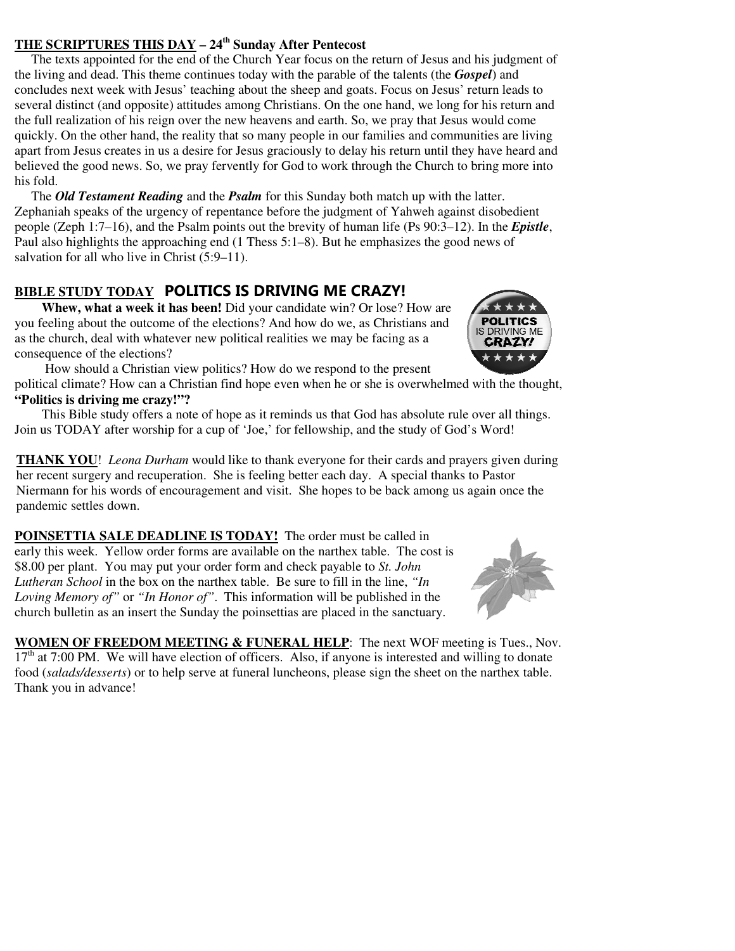# **THE SCRIPTURES THIS DAY – 24th Sunday After Pentecost**

 The texts appointed for the end of the Church Year focus on the return of Jesus and his judgment of the living and dead. This theme continues today with the parable of the talents (the *Gospel*) and concludes next week with Jesus' teaching about the sheep and goats. Focus on Jesus' return leads to several distinct (and opposite) attitudes among Christians. On the one hand, we long for his return and the full realization of his reign over the new heavens and earth. So, we pray that Jesus would come quickly. On the other hand, the reality that so many people in our families and communities are living apart from Jesus creates in us a desire for Jesus graciously to delay his return until they have heard and believed the good news. So, we pray fervently for God to work through the Church to bring more into his fold.

 The *Old Testament Reading* and the *Psalm* for this Sunday both match up with the latter. Zephaniah speaks of the urgency of repentance before the judgment of Yahweh against disobedient people (Zeph 1:7–16), and the Psalm points out the brevity of human life (Ps 90:3–12). In the *Epistle*, Paul also highlights the approaching end (1 Thess 5:1–8). But he emphasizes the good news of salvation for all who live in Christ  $(5:9-11)$ .

# **BIBLE STUDY TODAY POLITICS IS DRIVING ME CRAZY!**

**Whew, what a week it has been!** Did your candidate win? Or lose? How are you feeling about the outcome of the elections? And how do we, as Christians and as the church, deal with whatever new political realities we may be facing as a consequence of the elections?

 How should a Christian view politics? How do we respond to the present political climate? How can a Christian find hope even when he or she is overwhelmed with the thought, **"Politics is driving me crazy!"?**

This Bible study offers a note of hope as it reminds us that God has absolute rule over all things. Join us TODAY after worship for a cup of 'Joe,' for fellowship, and the study of God's Word!

**THANK YOU**! *Leona Durham* would like to thank everyone for their cards and prayers given during her recent surgery and recuperation. She is feeling better each day. A special thanks to Pastor Niermann for his words of encouragement and visit. She hopes to be back among us again once the pandemic settles down.

**POINSETTIA SALE DEADLINE IS TODAY!** The order must be called in early this week. Yellow order forms are available on the narthex table. The cost is \$8.00 per plant. You may put your order form and check payable to *St. John Lutheran School* in the box on the narthex table. Be sure to fill in the line, *"In Loving Memory of"* or *"In Honor of"*. This information will be published in the church bulletin as an insert the Sunday the poinsettias are placed in the sanctuary.

**WOMEN OF FREEDOM MEETING & FUNERAL HELP**: The next WOF meeting is Tues., Nov.  $17<sup>th</sup>$  at 7:00 PM. We will have election of officers. Also, if anyone is interested and willing to donate food (*salads/desserts*) or to help serve at funeral luncheons, please sign the sheet on the narthex table. Thank you in advance!



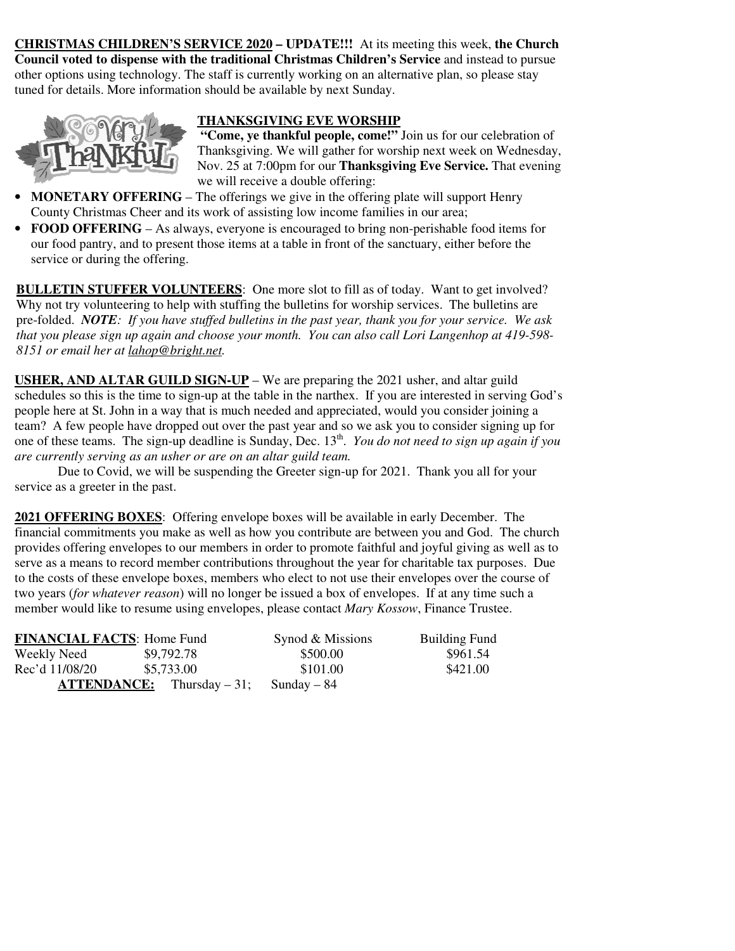**CHRISTMAS CHILDREN'S SERVICE 2020 – UPDATE!!!** At its meeting this week, **the Church Council voted to dispense with the traditional Christmas Children's Service** and instead to pursue other options using technology. The staff is currently working on an alternative plan, so please stay tuned for details. More information should be available by next Sunday.



## **THANKSGIVING EVE WORSHIP**

**"Come, ye thankful people, come!"** Join us for our celebration of Thanksgiving. We will gather for worship next week on Wednesday, Nov. 25 at 7:00pm for our **Thanksgiving Eve Service.** That evening we will receive a double offering:

- **MONETARY OFFERING** The offerings we give in the offering plate will support Henry County Christmas Cheer and its work of assisting low income families in our area;
- **FOOD OFFERING** As always, everyone is encouraged to bring non-perishable food items for our food pantry, and to present those items at a table in front of the sanctuary, either before the service or during the offering.

**BULLETIN STUFFER VOLUNTEERS:** One more slot to fill as of today. Want to get involved? Why not try volunteering to help with stuffing the bulletins for worship services. The bulletins are pre-folded. *NOTE: If you have stuffed bulletins in the past year, thank you for your service. We ask that you please sign up again and choose your month. You can also call Lori Langenhop at 419-598- 8151 or email her at lahop@bright.net.* 

**USHER, AND ALTAR GUILD SIGN-UP** – We are preparing the 2021 usher, and altar guild schedules so this is the time to sign-up at the table in the narthex. If you are interested in serving God's people here at St. John in a way that is much needed and appreciated, would you consider joining a team? A few people have dropped out over the past year and so we ask you to consider signing up for one of these teams. The sign-up deadline is Sunday, Dec. 13<sup>th</sup>. *You do not need to sign up again if you are currently serving as an usher or are on an altar guild team.* 

 Due to Covid, we will be suspending the Greeter sign-up for 2021. Thank you all for your service as a greeter in the past.

**2021 OFFERING BOXES**: Offering envelope boxes will be available in early December. The financial commitments you make as well as how you contribute are between you and God. The church provides offering envelopes to our members in order to promote faithful and joyful giving as well as to serve as a means to record member contributions throughout the year for charitable tax purposes. Due to the costs of these envelope boxes, members who elect to not use their envelopes over the course of two years (*for whatever reason*) will no longer be issued a box of envelopes. If at any time such a member would like to resume using envelopes, please contact *Mary Kossow*, Finance Trustee.

| <b>FINANCIAL FACTS: Home Fund</b> |                                     | Synod & Missions | <b>Building Fund</b> |
|-----------------------------------|-------------------------------------|------------------|----------------------|
| Weekly Need                       | \$9,792.78                          | \$500.00         | \$961.54             |
| Rec'd 11/08/20                    | \$5,733.00                          | \$101.00         | \$421.00             |
|                                   | <b>ATTENDANCE:</b> Thursday $-31$ ; | Sunday – 84      |                      |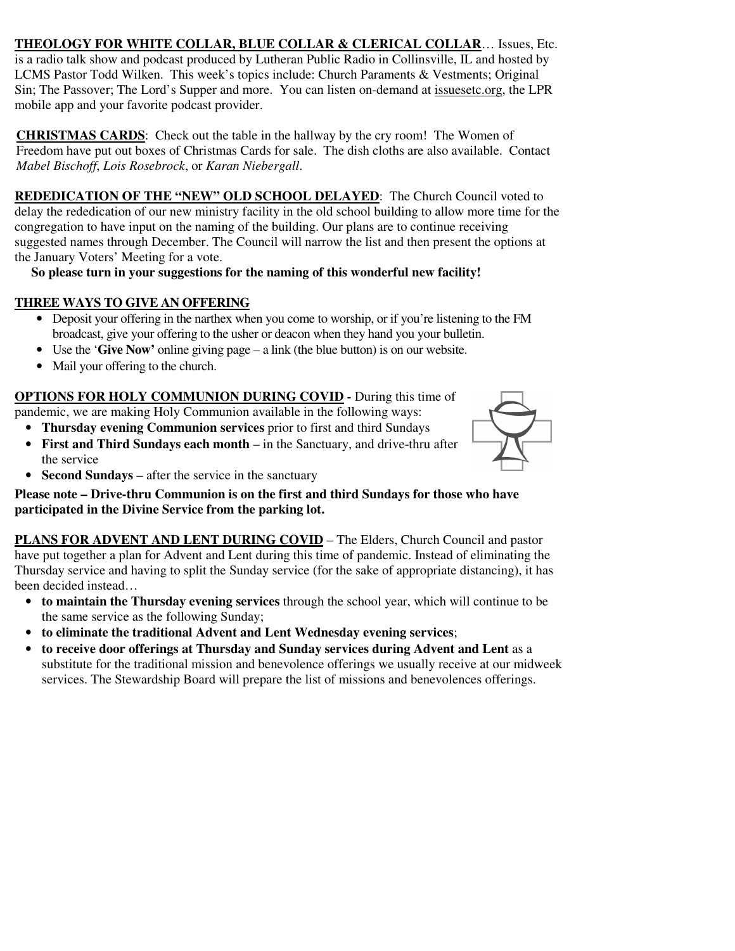**THEOLOGY FOR WHITE COLLAR, BLUE COLLAR & CLERICAL COLLAR**… Issues, Etc. is a radio talk show and podcast produced by Lutheran Public Radio in Collinsville, IL and hosted by LCMS Pastor Todd Wilken. This week's topics include: Church Paraments & Vestments; Original Sin; The Passover; The Lord's Supper and more. You can listen on-demand at issuesetc.org, the LPR mobile app and your favorite podcast provider.

**CHRISTMAS CARDS**: Check out the table in the hallway by the cry room! The Women of Freedom have put out boxes of Christmas Cards for sale. The dish cloths are also available. Contact *Mabel Bischoff*, *Lois Rosebrock*, or *Karan Niebergall*.

**REDEDICATION OF THE "NEW" OLD SCHOOL DELAYED**: The Church Council voted to delay the rededication of our new ministry facility in the old school building to allow more time for the congregation to have input on the naming of the building. Our plans are to continue receiving suggested names through December. The Council will narrow the list and then present the options at the January Voters' Meeting for a vote.

## **So please turn in your suggestions for the naming of this wonderful new facility!**

## **THREE WAYS TO GIVE AN OFFERING**

- Deposit your offering in the narthex when you come to worship, or if you're listening to the FM broadcast, give your offering to the usher or deacon when they hand you your bulletin.
- Use the '**Give Now'** online giving page a link (the blue button) is on our website.
- Mail your offering to the church.

**OPTIONS FOR HOLY COMMUNION DURING COVID -** During this time of pandemic, we are making Holy Communion available in the following ways:

- **Thursday evening Communion services** prior to first and third Sundays
- **First and Third Sundays each month** in the Sanctuary, and drive-thru after the service



• **Second Sundays** – after the service in the sanctuary

**Please note – Drive-thru Communion is on the first and third Sundays for those who have participated in the Divine Service from the parking lot.** 

**PLANS FOR ADVENT AND LENT DURING COVID** – The Elders, Church Council and pastor have put together a plan for Advent and Lent during this time of pandemic. Instead of eliminating the Thursday service and having to split the Sunday service (for the sake of appropriate distancing), it has been decided instead…

- **to maintain the Thursday evening services** through the school year, which will continue to be the same service as the following Sunday;
- **to eliminate the traditional Advent and Lent Wednesday evening services**;
- **to receive door offerings at Thursday and Sunday services during Advent and Lent** as a substitute for the traditional mission and benevolence offerings we usually receive at our midweek services. The Stewardship Board will prepare the list of missions and benevolences offerings.